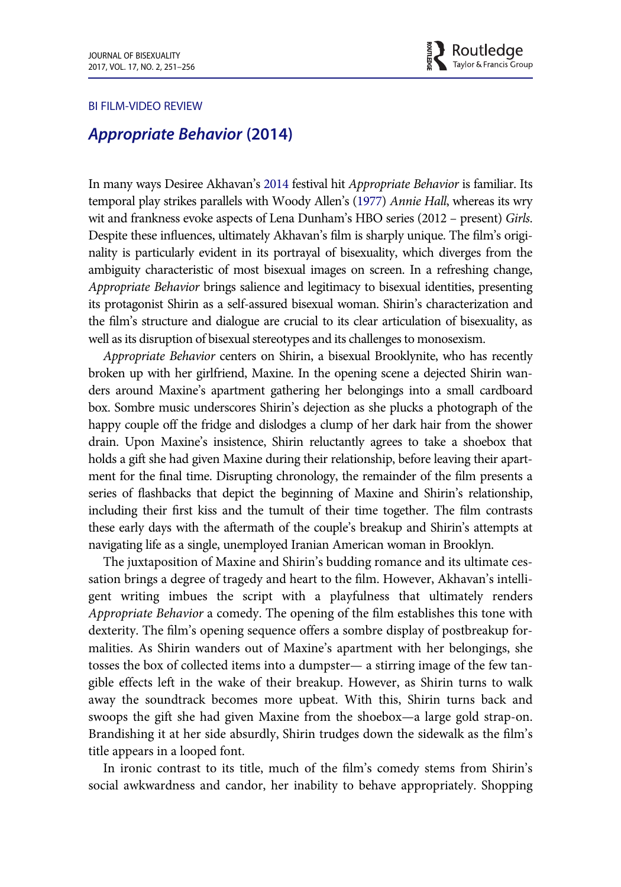

## BI FILM-VIDEO REVIEW

## Appropriate Behavior (2014)

In many ways Desiree Akhavan's [2014](#page-5-0) festival hit Appropriate Behavior is familiar. Its temporal play strikes parallels with Woody Allen's ([1977\)](#page-5-1) Annie Hall, whereas its wry wit and frankness evoke aspects of Lena Dunham's HBO series (2012 – present) Girls. Despite these influences, ultimately Akhavan's film is sharply unique. The film's originality is particularly evident in its portrayal of bisexuality, which diverges from the ambiguity characteristic of most bisexual images on screen. In a refreshing change, Appropriate Behavior brings salience and legitimacy to bisexual identities, presenting its protagonist Shirin as a self-assured bisexual woman. Shirin's characterization and the film's structure and dialogue are crucial to its clear articulation of bisexuality, as well as its disruption of bisexual stereotypes and its challenges to monosexism.

Appropriate Behavior centers on Shirin, a bisexual Brooklynite, who has recently broken up with her girlfriend, Maxine. In the opening scene a dejected Shirin wanders around Maxine's apartment gathering her belongings into a small cardboard box. Sombre music underscores Shirin's dejection as she plucks a photograph of the happy couple off the fridge and dislodges a clump of her dark hair from the shower drain. Upon Maxine's insistence, Shirin reluctantly agrees to take a shoebox that holds a gift she had given Maxine during their relationship, before leaving their apartment for the final time. Disrupting chronology, the remainder of the film presents a series of flashbacks that depict the beginning of Maxine and Shirin's relationship, including their first kiss and the tumult of their time together. The film contrasts these early days with the aftermath of the couple's breakup and Shirin's attempts at navigating life as a single, unemployed Iranian American woman in Brooklyn.

The juxtaposition of Maxine and Shirin's budding romance and its ultimate cessation brings a degree of tragedy and heart to the film. However, Akhavan's intelligent writing imbues the script with a playfulness that ultimately renders Appropriate Behavior a comedy. The opening of the film establishes this tone with dexterity. The film's opening sequence offers a sombre display of postbreakup formalities. As Shirin wanders out of Maxine's apartment with her belongings, she tosses the box of collected items into a dumpster— a stirring image of the few tangible effects left in the wake of their breakup. However, as Shirin turns to walk away the soundtrack becomes more upbeat. With this, Shirin turns back and swoops the gift she had given Maxine from the shoebox—a large gold strap-on. Brandishing it at her side absurdly, Shirin trudges down the sidewalk as the film's title appears in a looped font.

In ironic contrast to its title, much of the film's comedy stems from Shirin's social awkwardness and candor, her inability to behave appropriately. Shopping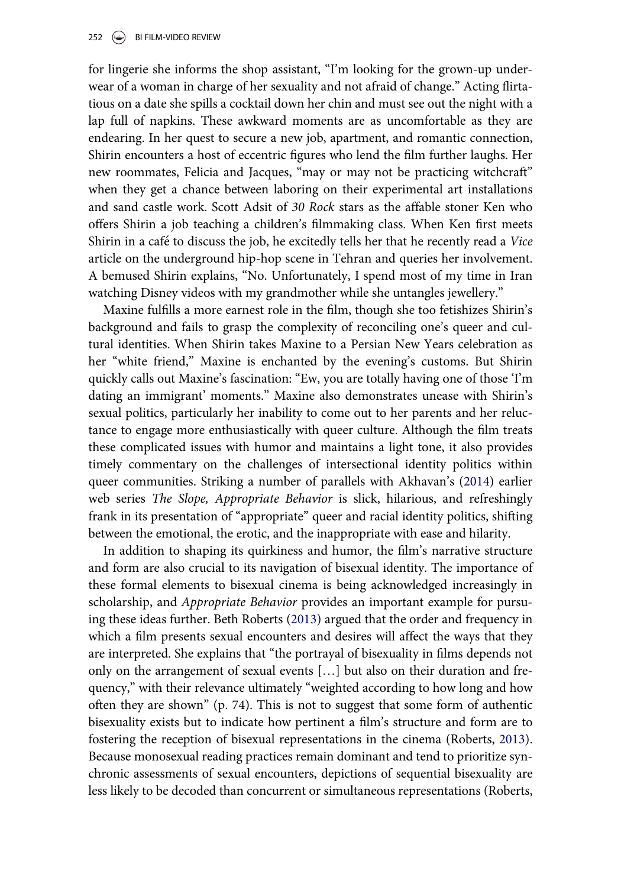for lingerie she informs the shop assistant, "I'm looking for the grown-up underwear of a woman in charge of her sexuality and not afraid of change." Acting flirtatious on a date she spills a cocktail down her chin and must see out the night with a lap full of napkins. These awkward moments are as uncomfortable as they are endearing. In her quest to secure a new job, apartment, and romantic connection, Shirin encounters a host of eccentric figures who lend the film further laughs. Her new roommates, Felicia and Jacques, "may or may not be practicing witchcraft" when they get a chance between laboring on their experimental art installations and sand castle work. Scott Adsit of 30 Rock stars as the affable stoner Ken who offers Shirin a job teaching a children's filmmaking class. When Ken first meets Shirin in a café to discuss the job, he excitedly tells her that he recently read a *Vice* article on the underground hip-hop scene in Tehran and queries her involvement. A bemused Shirin explains, "No. Unfortunately, I spend most of my time in Iran watching Disney videos with my grandmother while she untangles jewellery."

Maxine fulfills a more earnest role in the film, though she too fetishizes Shirin's background and fails to grasp the complexity of reconciling one's queer and cultural identities. When Shirin takes Maxine to a Persian New Years celebration as her "white friend," Maxine is enchanted by the evening's customs. But Shirin quickly calls out Maxine's fascination: "Ew, you are totally having one of those 'I'm dating an immigrant' moments." Maxine also demonstrates unease with Shirin's sexual politics, particularly her inability to come out to her parents and her reluctance to engage more enthusiastically with queer culture. Although the film treats these complicated issues with humor and maintains a light tone, it also provides timely commentary on the challenges of intersectional identity politics within queer communities. Striking a number of parallels with Akhavan's [\(2014](#page-5-0)) earlier web series The Slope, Appropriate Behavior is slick, hilarious, and refreshingly frank in its presentation of "appropriate" queer and racial identity politics, shifting between the emotional, the erotic, and the inappropriate with ease and hilarity.

In addition to shaping its quirkiness and humor, the film's narrative structure and form are also crucial to its navigation of bisexual identity. The importance of these formal elements to bisexual cinema is being acknowledged increasingly in scholarship, and Appropriate Behavior provides an important example for pursuing these ideas further. Beth Roberts [\(2013](#page-5-2)) argued that the order and frequency in which a film presents sexual encounters and desires will affect the ways that they are interpreted. She explains that "the portrayal of bisexuality in films depends not only on the arrangement of sexual events […] but also on their duration and frequency," with their relevance ultimately "weighted according to how long and how often they are shown" (p. 74). This is not to suggest that some form of authentic bisexuality exists but to indicate how pertinent a film's structure and form are to fostering the reception of bisexual representations in the cinema (Roberts, [2013](#page-5-2)). Because monosexual reading practices remain dominant and tend to prioritize synchronic assessments of sexual encounters, depictions of sequential bisexuality are less likely to be decoded than concurrent or simultaneous representations (Roberts,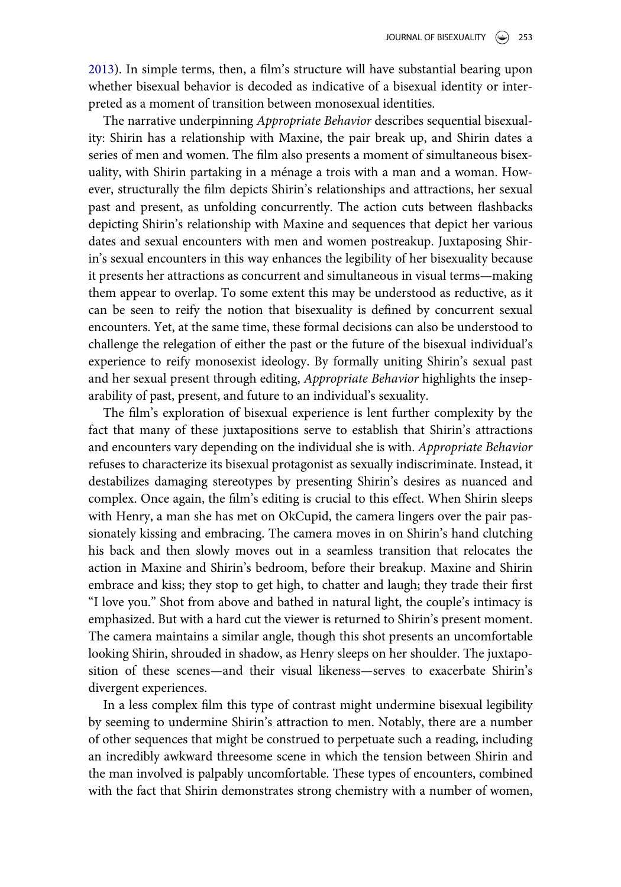[2013\)](#page-5-2). In simple terms, then, a film's structure will have substantial bearing upon whether bisexual behavior is decoded as indicative of a bisexual identity or interpreted as a moment of transition between monosexual identities.

The narrative underpinning Appropriate Behavior describes sequential bisexuality: Shirin has a relationship with Maxine, the pair break up, and Shirin dates a series of men and women. The film also presents a moment of simultaneous bisexuality, with Shirin partaking in a ménage a trois with a man and a woman. However, structurally the film depicts Shirin's relationships and attractions, her sexual past and present, as unfolding concurrently. The action cuts between flashbacks depicting Shirin's relationship with Maxine and sequences that depict her various dates and sexual encounters with men and women postreakup. Juxtaposing Shirin's sexual encounters in this way enhances the legibility of her bisexuality because it presents her attractions as concurrent and simultaneous in visual terms—making them appear to overlap. To some extent this may be understood as reductive, as it can be seen to reify the notion that bisexuality is defined by concurrent sexual encounters. Yet, at the same time, these formal decisions can also be understood to challenge the relegation of either the past or the future of the bisexual individual's experience to reify monosexist ideology. By formally uniting Shirin's sexual past and her sexual present through editing, Appropriate Behavior highlights the inseparability of past, present, and future to an individual's sexuality.

The film's exploration of bisexual experience is lent further complexity by the fact that many of these juxtapositions serve to establish that Shirin's attractions and encounters vary depending on the individual she is with. Appropriate Behavior refuses to characterize its bisexual protagonist as sexually indiscriminate. Instead, it destabilizes damaging stereotypes by presenting Shirin's desires as nuanced and complex. Once again, the film's editing is crucial to this effect. When Shirin sleeps with Henry, a man she has met on OkCupid, the camera lingers over the pair passionately kissing and embracing. The camera moves in on Shirin's hand clutching his back and then slowly moves out in a seamless transition that relocates the action in Maxine and Shirin's bedroom, before their breakup. Maxine and Shirin embrace and kiss; they stop to get high, to chatter and laugh; they trade their first "I love you." Shot from above and bathed in natural light, the couple's intimacy is emphasized. But with a hard cut the viewer is returned to Shirin's present moment. The camera maintains a similar angle, though this shot presents an uncomfortable looking Shirin, shrouded in shadow, as Henry sleeps on her shoulder. The juxtaposition of these scenes—and their visual likeness—serves to exacerbate Shirin's divergent experiences.

In a less complex film this type of contrast might undermine bisexual legibility by seeming to undermine Shirin's attraction to men. Notably, there are a number of other sequences that might be construed to perpetuate such a reading, including an incredibly awkward threesome scene in which the tension between Shirin and the man involved is palpably uncomfortable. These types of encounters, combined with the fact that Shirin demonstrates strong chemistry with a number of women,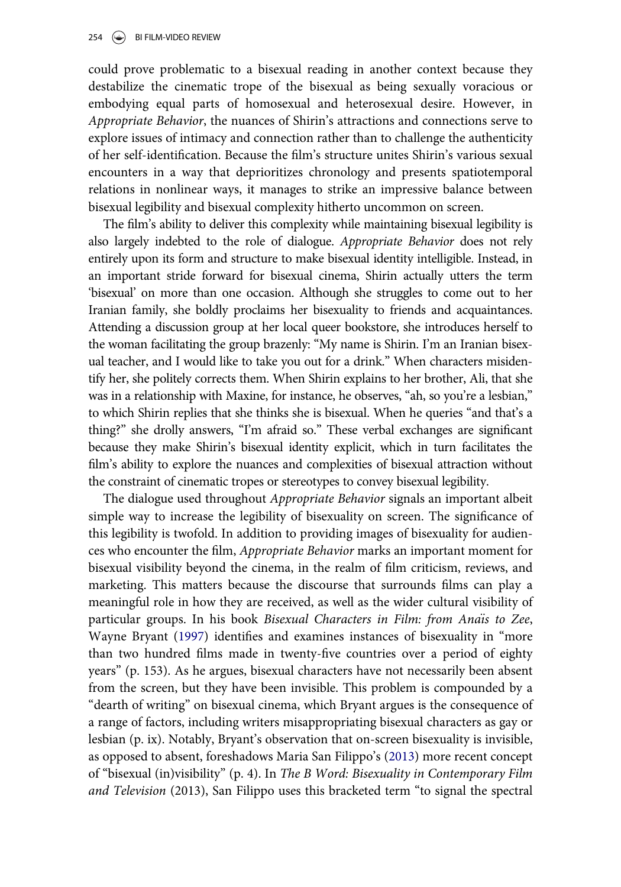could prove problematic to a bisexual reading in another context because they destabilize the cinematic trope of the bisexual as being sexually voracious or embodying equal parts of homosexual and heterosexual desire. However, in Appropriate Behavior, the nuances of Shirin's attractions and connections serve to explore issues of intimacy and connection rather than to challenge the authenticity of her self-identification. Because the film's structure unites Shirin's various sexual encounters in a way that deprioritizes chronology and presents spatiotemporal relations in nonlinear ways, it manages to strike an impressive balance between bisexual legibility and bisexual complexity hitherto uncommon on screen.

The film's ability to deliver this complexity while maintaining bisexual legibility is also largely indebted to the role of dialogue. Appropriate Behavior does not rely entirely upon its form and structure to make bisexual identity intelligible. Instead, in an important stride forward for bisexual cinema, Shirin actually utters the term 'bisexual' on more than one occasion. Although she struggles to come out to her Iranian family, she boldly proclaims her bisexuality to friends and acquaintances. Attending a discussion group at her local queer bookstore, she introduces herself to the woman facilitating the group brazenly: "My name is Shirin. I'm an Iranian bisexual teacher, and I would like to take you out for a drink." When characters misidentify her, she politely corrects them. When Shirin explains to her brother, Ali, that she was in a relationship with Maxine, for instance, he observes, "ah, so you're a lesbian," to which Shirin replies that she thinks she is bisexual. When he queries "and that's a thing?" she drolly answers, "I'm afraid so." These verbal exchanges are significant because they make Shirin's bisexual identity explicit, which in turn facilitates the film's ability to explore the nuances and complexities of bisexual attraction without the constraint of cinematic tropes or stereotypes to convey bisexual legibility.

The dialogue used throughout Appropriate Behavior signals an important albeit simple way to increase the legibility of bisexuality on screen. The significance of this legibility is twofold. In addition to providing images of bisexuality for audiences who encounter the film, Appropriate Behavior marks an important moment for bisexual visibility beyond the cinema, in the realm of film criticism, reviews, and marketing. This matters because the discourse that surrounds films can play a meaningful role in how they are received, as well as the wider cultural visibility of particular groups. In his book Bisexual Characters in Film: from Anaïs to Zee, Wayne Bryant ([1997\)](#page-5-3) identifies and examines instances of bisexuality in "more than two hundred films made in twenty-five countries over a period of eighty years" (p. 153). As he argues, bisexual characters have not necessarily been absent from the screen, but they have been invisible. This problem is compounded by a "dearth of writing" on bisexual cinema, which Bryant argues is the consequence of a range of factors, including writers misappropriating bisexual characters as gay or lesbian (p. ix). Notably, Bryant's observation that on-screen bisexuality is invisible, as opposed to absent, foreshadows Maria San Filippo's [\(2013](#page-5-4)) more recent concept of "bisexual (in)visibility" (p. 4). In The B Word: Bisexuality in Contemporary Film and Television (2013), San Filippo uses this bracketed term "to signal the spectral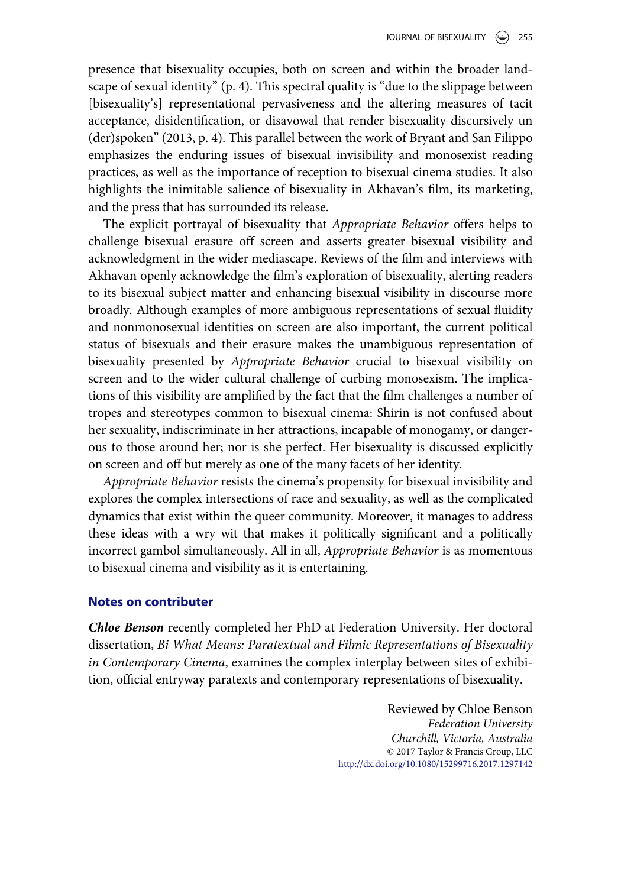presence that bisexuality occupies, both on screen and within the broader landscape of sexual identity" (p. 4). This spectral quality is "due to the slippage between [bisexuality's] representational pervasiveness and the altering measures of tacit acceptance, disidentification, or disavowal that render bisexuality discursively un (der)spoken" (2013, p. 4). This parallel between the work of Bryant and San Filippo emphasizes the enduring issues of bisexual invisibility and monosexist reading practices, as well as the importance of reception to bisexual cinema studies. It also highlights the inimitable salience of bisexuality in Akhavan's film, its marketing, and the press that has surrounded its release.

The explicit portrayal of bisexuality that Appropriate Behavior offers helps to challenge bisexual erasure off screen and asserts greater bisexual visibility and acknowledgment in the wider mediascape. Reviews of the film and interviews with Akhavan openly acknowledge the film's exploration of bisexuality, alerting readers to its bisexual subject matter and enhancing bisexual visibility in discourse more broadly. Although examples of more ambiguous representations of sexual fluidity and nonmonosexual identities on screen are also important, the current political status of bisexuals and their erasure makes the unambiguous representation of bisexuality presented by Appropriate Behavior crucial to bisexual visibility on screen and to the wider cultural challenge of curbing monosexism. The implications of this visibility are amplified by the fact that the film challenges a number of tropes and stereotypes common to bisexual cinema: Shirin is not confused about her sexuality, indiscriminate in her attractions, incapable of monogamy, or dangerous to those around her; nor is she perfect. Her bisexuality is discussed explicitly on screen and off but merely as one of the many facets of her identity.

Appropriate Behavior resists the cinema's propensity for bisexual invisibility and explores the complex intersections of race and sexuality, as well as the complicated dynamics that exist within the queer community. Moreover, it manages to address these ideas with a wry wit that makes it politically significant and a politically incorrect gambol simultaneously. All in all, Appropriate Behavior is as momentous to bisexual cinema and visibility as it is entertaining.

## Notes on contributer

Chloe Benson recently completed her PhD at Federation University. Her doctoral dissertation, Bi What Means: Paratextual and Filmic Representations of Bisexuality in Contemporary Cinema, examines the complex interplay between sites of exhibition, official entryway paratexts and contemporary representations of bisexuality.

> Reviewed by Chloe Benson Federation University Churchill, Victoria, Australia © 2017 Taylor & Francis Group, LLC http://dx.doi.org/10.1080/15299716.2017.1297142